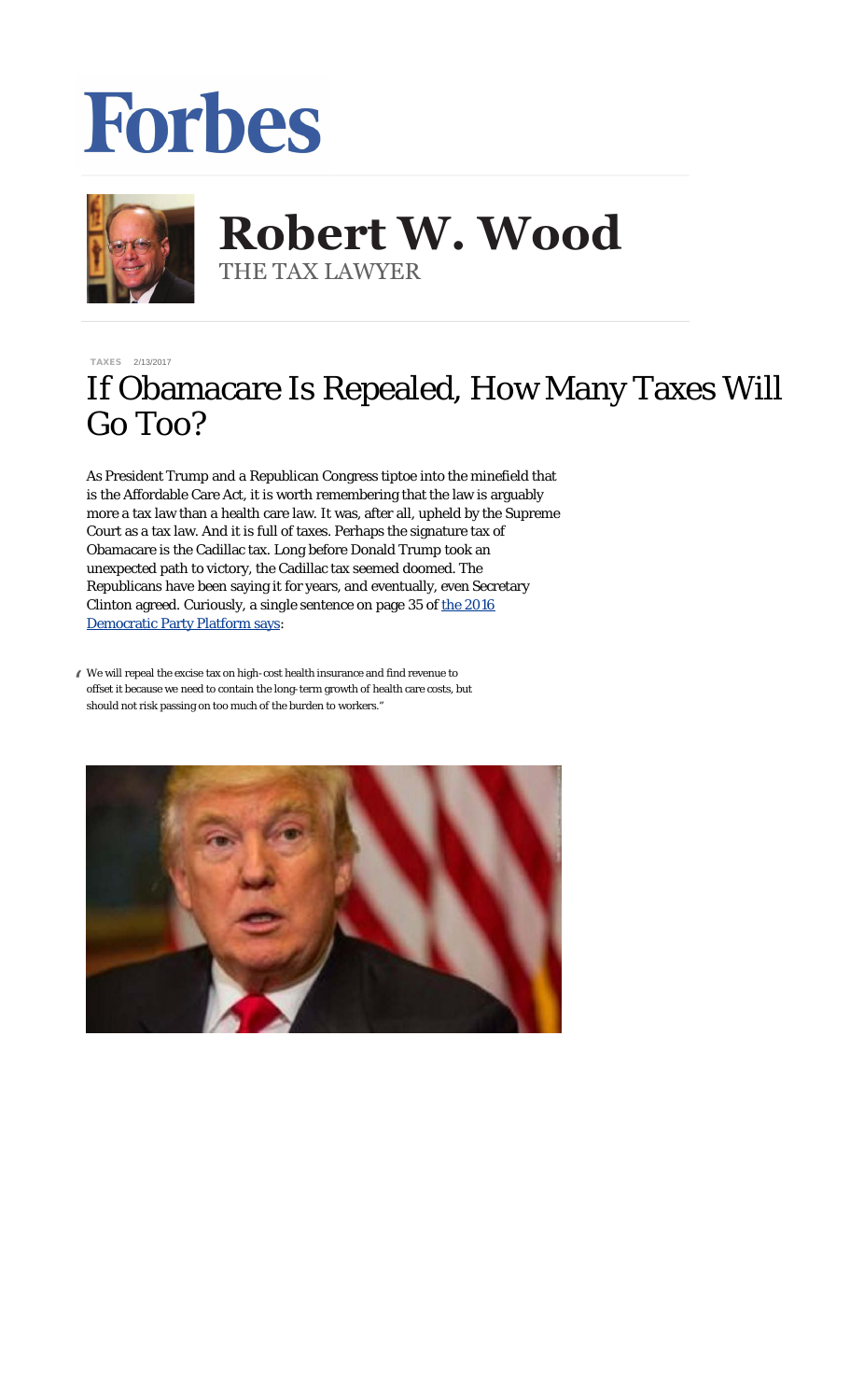## **Forbes**



**Robert W. Wood Robert W. Wood** THE TAX LAWYER THE TAX LAWYER

[TAXES](http://www.forbes.com/taxes) 2/13/2017

## If Obamacare Is Repealed, How Many Taxes Will Go Too?

As President Trump and a Republican Congress tiptoe into the minefield that is the Affordable Care Act, it is worth remembering that the law is arguably more a tax law than a health care law. It was, after all, upheld by the Supreme Court as a tax law. And it is full of taxes. Perhaps the signature tax of Obamacare is the Cadillac tax. Long before Donald Trump took an unexpected path to victory, the Cadillac tax seemed doomed. The Republicans have been saying it for years, and eventually, even Secretary Clinton agreed. Curiously, a *single* sentence on page 35 of [the 2016](https://www.demconvention.com/wp-content/uploads/2016/07/Democratic-Party-Platform-7.21.16-no-lines.pdf) [Democratic Party Platform says](https://www.demconvention.com/wp-content/uploads/2016/07/Democratic-Party-Platform-7.21.16-no-lines.pdf):

" We will repeal the excise tax on high-cost health insurance and find revenue to offset it because we need to contain the long-term growth of health care costs, but should not risk passing on too much of the burden to workers."

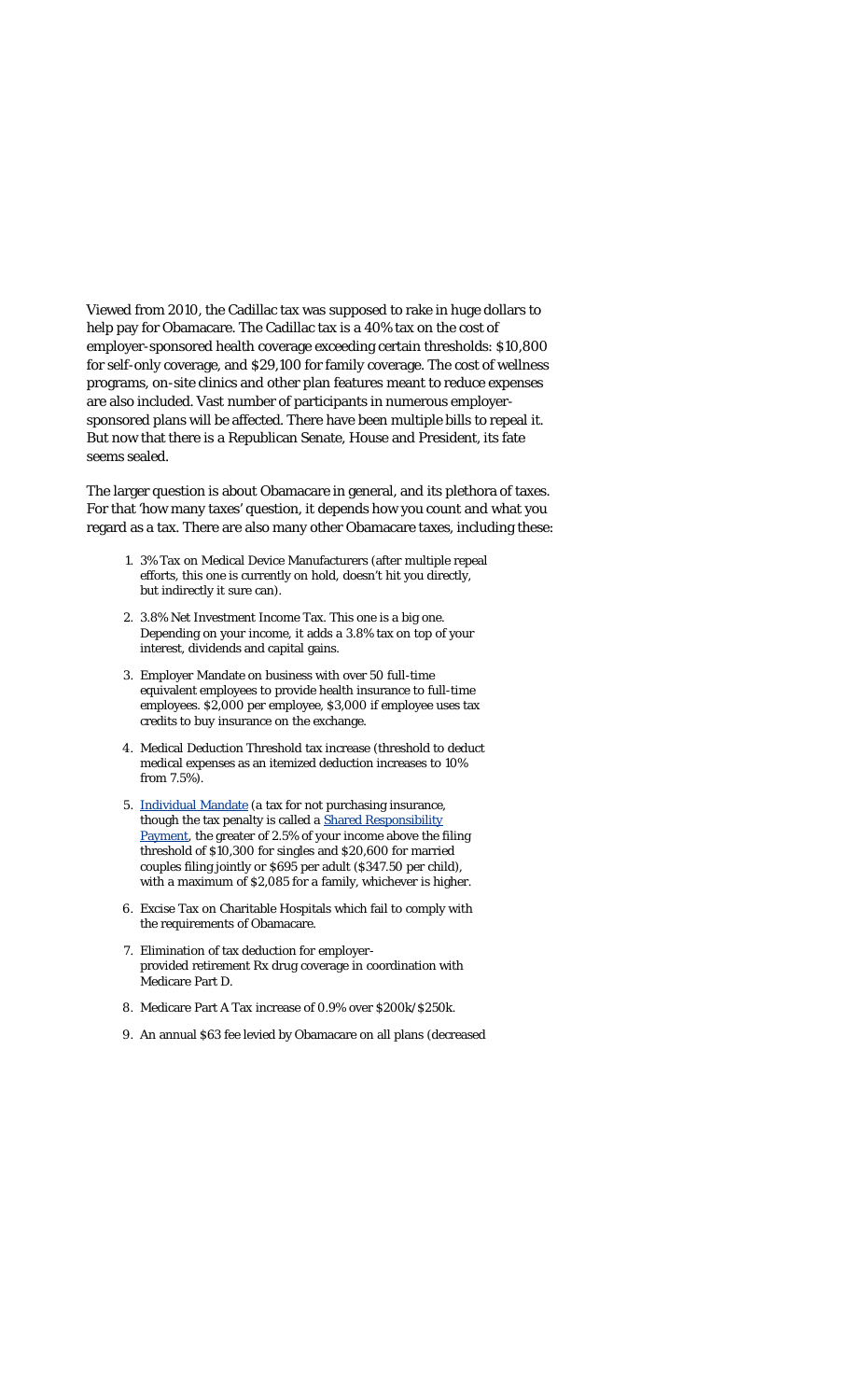Viewed from 2010, the Cadillac tax was supposed to rake in huge dollars to help pay for Obamacare. The Cadillac tax is a 40% tax on the cost of employer-sponsored health coverage exceeding certain thresholds: \$10,800 for self-only coverage, and \$29,100 for family coverage. The cost of wellness programs, on-site clinics and other plan features meant to reduce expenses are also included. Vast number of participants in numerous employersponsored plans will be affected. There have been multiple bills to repeal it. But now that there is a Republican Senate, House and President, its fate seems sealed.

The larger question is about Obamacare in general, and its plethora of taxes. For that 'how many taxes' question, it depends how you count and what you regard as a tax. There are also many other Obamacare taxes, including these:

- 1. 3% Tax on Medical Device Manufacturers (after multiple repeal efforts, this one is currently on hold, doesn't hit you directly, but indirectly it sure can).
- 2. 3.8% Net Investment Income Tax. This one is a big one. Depending on your income, it adds a 3.8% tax on top of your interest, dividends and capital gains.
- 3. Employer Mandate on business with over 50 full-time equivalent employees to provide health insurance to full-time employees. \$2,000 per employee, \$3,000 if employee uses tax credits to buy insurance on the exchange.
- 4. Medical Deduction Threshold tax increase (threshold to deduct medical expenses as an itemized deduction increases to 10% from 7.5%).
- 5. [Individual Mandate](http://obamacarefacts.com/obamacare-individual-mandate/) (a tax for not purchasing insurance, though the tax penalty is called a [Shared Responsibility](http://www.irs.gov/Affordable-Care-Act/Individuals-and-Families/ACA-Individual-Shared-Responsibility-Provision-Calculating-the-Payment) [Payment,](http://www.irs.gov/Affordable-Care-Act/Individuals-and-Families/ACA-Individual-Shared-Responsibility-Provision-Calculating-the-Payment) the greater of 2.5% of your income above the filing threshold of \$10,300 for singles and \$20,600 for married couples filing jointly or \$695 per adult (\$347.50 per child), with a maximum of \$2,085 for a family, whichever is higher.
- 6. Excise Tax on Charitable Hospitals which fail to comply with the requirements of Obamacare.
- 7. Elimination of tax deduction for employerprovided retirement Rx drug coverage in coordination with Medicare Part D.
- 8. Medicare Part A Tax increase of 0.9% over \$200k/\$250k.
- 9. An annual \$63 fee levied by Obamacare on all plans (decreased